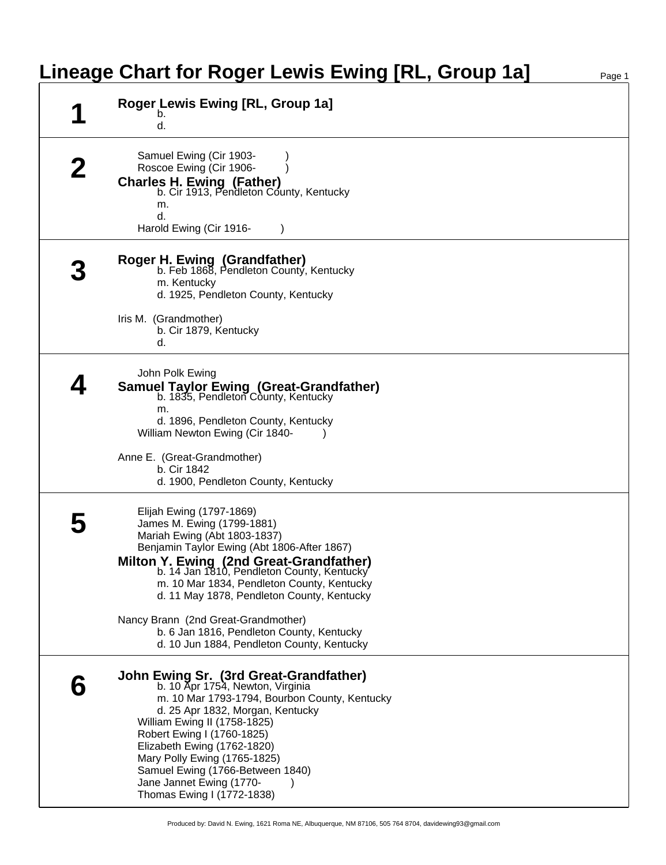## **Lineage Chart for Roger Lewis Ewing [RL, Group 1a]** Page 1

| Roger Lewis Ewing [RL, Group 1a]<br>b.<br>d.                                                                                                                                                                                                                                                                                                                                                                                                                 |
|--------------------------------------------------------------------------------------------------------------------------------------------------------------------------------------------------------------------------------------------------------------------------------------------------------------------------------------------------------------------------------------------------------------------------------------------------------------|
| Samuel Ewing (Cir 1903-<br>Roscoe Ewing (Cir 1906-<br><b>Charles H. Ewing (Father)</b><br>b. Cir 1913, Pendleton County, Kentucky<br>m.<br>d.<br>Harold Ewing (Cir 1916-                                                                                                                                                                                                                                                                                     |
| Roger H. Ewing (Grandfather)<br>b. Feb 1868, Pendleton County, Kentucky<br>m. Kentucky<br>d. 1925, Pendleton County, Kentucky<br>Iris M. (Grandmother)<br>b. Cir 1879, Kentucky                                                                                                                                                                                                                                                                              |
| d.<br>John Polk Ewing<br><b>Samuel Taylor Ewing (Great-Grandfather)</b><br>b. 1835, Pendleton County, Kentucky<br>m.<br>d. 1896, Pendleton County, Kentucky<br>William Newton Ewing (Cir 1840-<br>Anne E. (Great-Grandmother)<br>b. Cir 1842<br>d. 1900, Pendleton County, Kentucky                                                                                                                                                                          |
| Elijah Ewing (1797-1869)<br>James M. Ewing (1799-1881)<br>Mariah Ewing (Abt 1803-1837)<br>Benjamin Taylor Ewing (Abt 1806-After 1867)<br>Milton Y. Ewing (2nd Great-Grandfather)<br>b. 14 Jan 1810, Pendleton County, Kentucky<br>m. 10 Mar 1834, Pendleton County, Kentucky<br>d. 11 May 1878, Pendleton County, Kentucky<br>Nancy Brann (2nd Great-Grandmother)<br>b. 6 Jan 1816, Pendleton County, Kentucky<br>d. 10 Jun 1884, Pendleton County, Kentucky |
| John Ewing Sr. (3rd Great-Grandfather)<br>b. 10 Apr 1754, Newton, Virginia<br>m. 10 Mar 1793-1794, Bourbon County, Kentucky<br>d. 25 Apr 1832, Morgan, Kentucky<br>William Ewing II (1758-1825)<br>Robert Ewing I (1760-1825)<br>Elizabeth Ewing (1762-1820)<br>Mary Polly Ewing (1765-1825)<br>Samuel Ewing (1766-Between 1840)<br>Jane Jannet Ewing (1770-<br>Thomas Ewing I (1772-1838)                                                                   |

Produced by: David N. Ewing, 1621 Roma NE, Albuquerque, NM 87106, 505 764 8704, davidewing93@gmail.com